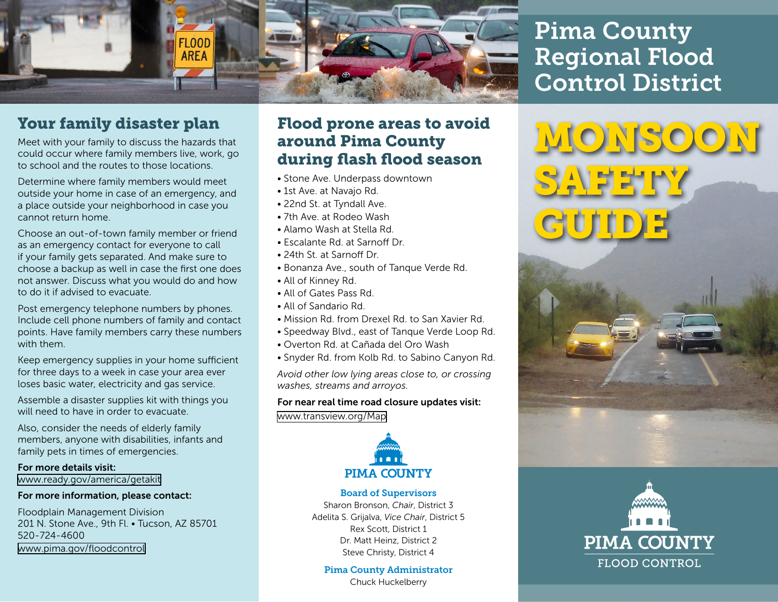

## Your family disaster plan

Meet with your family to discuss the hazards that could occur where family members live, work, go to school and the routes to those locations.

Determine where family members would meet outside your home in case of an emergency, and a place outside your neighborhood in case you cannot return home.

Choose an out-of-town family member or friend as an emergency contact for everyone to call if your family gets separated. And make sure to choose a backup as well in case the first one does not answer. Discuss what you would do and how to do it if advised to evacuate.

Post emergency telephone numbers by phones. Include cell phone numbers of family and contact points. Have family members carry these numbers with them.

Keep emergency supplies in your home sufficient for three days to a week in case your area ever loses basic water, electricity and gas service.

Assemble a disaster supplies kit with things you will need to have in order to evacuate.

Also, consider the needs of elderly family members, anyone with disabilities, infants and family pets in times of emergencies.

For more details visit: [www.ready.gov/america/getakit](http://www.ready.gov/america/getakit)

#### For more information, please contact:

Floodplain Management Division 201 N. Stone Ave., 9th Fl. • Tucson, AZ 85701 520-724-4600 [www.pima.gov/floodcontrol](http://www.pima.gov/floodcontrol)

#### Flood prone areas to avoid around Pima County during flash flood season

- Stone Ave. Underpass downtown
- 1st Ave. at Navajo Rd.
- 22nd St. at Tyndall Ave.
- 7th Ave. at Rodeo Wash
- Alamo Wash at Stella Rd.
- Escalante Rd. at Sarnoff Dr.
- 24th St. at Sarnoff Dr.
- Bonanza Ave., south of Tanque Verde Rd.
- All of Kinney Rd.
- All of Gates Pass Rd.
- All of Sandario Rd.
- Mission Rd. from Drexel Rd. to San Xavier Rd.
- Speedway Blvd., east of Tanque Verde Loop Rd.
- Overton Rd. at Cañada del Oro Wash
- Snyder Rd. from Kolb Rd. to Sabino Canyon Rd.

*Avoid other low lying areas close to, or crossing washes, streams and arroyos.*

#### For near real time road closure updates visit: [www.transview.org/Map](http://www.transview.org/Map)



#### Board of Supervisors

Sharon Bronson, *Chair*, District 3 Adelita S. Grijalva, *Vice Chair*, District 5 Rex Scott, District 1 Dr. Matt Heinz, District 2 Steve Christy, District 4

Pima County Administrator

Chuck Huckelberry

# Pima County Regional Flood Control District

**SAFETY** 

GUIDE

 $IS$ O)

**PIMA COUNTY** 

**FLOOD CONTROL**